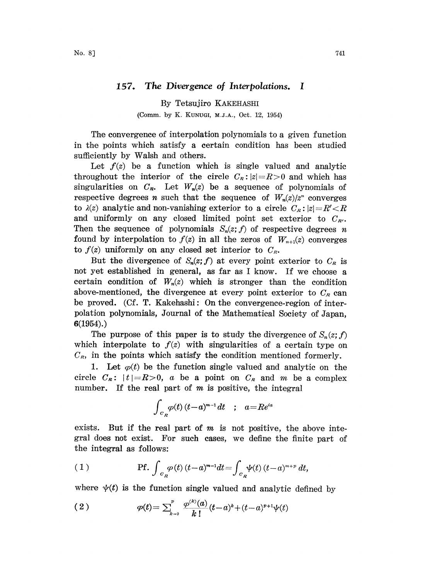## 157. The Divergence of Interpolations. <sup>I</sup>

By Tetsujiro KAKEHASHI (Comm. by K. KUNUGI, M.J.A., Oct. 12, 1954)

The convergence of interpolation polynomials to a given function in the points which satisfy a certain condition has been studied sufficiently by Walsh and others.

Let  $f(z)$  be a function which is single valued and analytic throughout the interior of the circle  $C_R$ :  $|z|=R>0$  and which has singularities on  $C_R$ . Let  $W_n(z)$  be a sequence of polynomials of respective degrees *n* such that the sequence of  $W_n(z)/z^n$  converges to  $\lambda(z)$  analytic and non-vanishing exterior to a circle  $C_R$ :  $|z|=R'$ and uniformly on any closed limited point set exterior to  $C_{R'}$ . Then the sequence of polynomials  $S_n(z; f)$  of respective degrees n found by interpolation to  $f(z)$  in all the zeros of  $W_{n+1}(z)$  converges to  $f(z)$  uniformly on any closed set interior to  $C_R$ .

But the divergence of  $S_n(z; f)$  at every point exterior to  $C_R$  is not yet established in general, as far as <sup>I</sup> know. If we choose a certain condition of  $W_n(z)$  which is stronger than the condition above-mentioned, the divergence at every point exterior to  $C_R$  can be proved. (Cf. T. Kakehashi: On the convergence-region of interpolation polynomials, Journal of the Mathematical Society of Japan, 6(1954).)

The purpose of this paper is to study the divergence of  $S_n(z; f)$ which interpolate to  $f(z)$  with singularities of a certain type on  $C_R$ , in the points which satisfy the condition mentioned formerly.

1. Let  $\varphi(t)$  be the function single valued and analytic on the circle  $C_{\kappa}:$   $|t|=R>0$ , a be a point on  $C_{\kappa}$  and m be a complex number. If the real part of  $m$  is positive, the integral

$$
\int_{c_R} \varphi(t) \, (t-a)^{m-1} \, dt \quad ; \quad a = Re^{ia}
$$

exists. But if the real part of  $m$  is not positive, the above integral does not exist. For such cases, we define the finite part of the integral as follows:

(1) **Pf.** 
$$
\int_{c_R} \varphi(t) (t-a)^{m-1} dt = \int_{c_R} \psi(t) (t-a)^{m+p} dt
$$
,

where  $\psi(t)$  is the function single valued and analytic defined by

(2) 
$$
\varphi(t) = \sum_{k=0}^{p} \frac{\varphi^{(k)}(a)}{k!} (t-a)^{k} + (t-a)^{p+1} \psi(t)
$$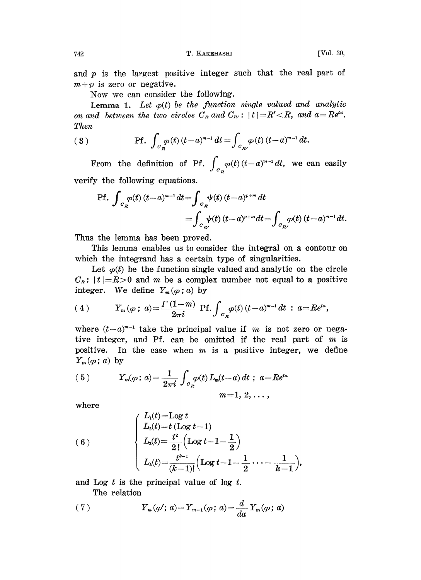742 T. KAKEHASHI [Vol. 30,

and  $p$  is the largest positive integer such that the real part of  $m+p$  is zero or negative.

Now we can consider the following.

Lemma 1. Let  $\varphi(t)$  be the function single valued and analytic on and between the two circles  $C_R$  and  $C_{R'}$ :  $|t|=R', and  $a=Re^{ia}$ .$ Then

(3) 
$$
\text{Pf. } \int_{C_R} \varphi(t) \, (t-a)^{m-1} \, dt = \int_{C_{R'}} \varphi(t) \, (t-a)^{m-1} \, dt.
$$

From the definition of Pf.  $\int_{c_R} \varphi(t) (t-a)^{m-1} dt$ , we can easily verify the following equations.

$$
\begin{aligned} \text{Pf.} \int_{C_R} \varphi(t) \, (t-a)^{m-1} \, dt &= \int_{C_R} \psi(t) \, (t-a)^{p+m} \, dt \\ &= \int_{C_{R'}} \psi(t) \, (t-a)^{p+m} \, dt = \int_{C_{R'}} \varphi(t) \, (t-a)^{m-1} \, dt. \end{aligned}
$$

Thus the lemma has been proved.

This lemma enables us to consider the integral on a contour on which the integrand has a certain type of singularities.

Let  $\varphi(t)$  be the function single valued and analytic on the circle  $C_R$ :  $|t|=R>0$  and m be a complex number not equal to a positive integer. We define  $Y_m(\varphi; a)$  by

(4) 
$$
Y_m(\varphi\,;\,a)=\frac{\Gamma(1-m)}{2\pi i}\,\,\text{Pf.}\int_{c_R}\varphi(t)\,(t-a)^{m-1}\,dt\,:\,a=R e^{ia},
$$

where  $(t-a)^{m-1}$  take the principal value if m is not zero or negative integer, and Pf. can be omitted if the real part of  $m$  is positive. In the case when  $m$  is a positive integer, we define  $Y_m(\varphi; a)$  by

(5) 
$$
Y_m(\varphi; a) = \frac{1}{2\pi i} \int_{C_R} \varphi(t) L_m(t-a) dt \; ; \; a = Re^{i\alpha}
$$

$$
m = 1, 2, \ldots,
$$

where

(6)  

$$
\begin{cases}\nL_1(t) = \text{Log } t \\
L_2(t) = t (\text{Log } t - 1) \\
L_3(t) = \frac{t^2}{2!} (\text{Log } t - 1 - \frac{1}{2}) \\
L_k(t) = \frac{t^{k-1}}{(k-1)!} (\text{Log } t - 1 - \frac{1}{2} \cdots - \frac{1}{k-1}),\n\end{cases}
$$

and Log  $t$  is the principal value of log  $t$ .

The relation

(7) 
$$
Y_m(\varphi'; a) = Y_{m-1}(\varphi; a) = \frac{d}{da} Y_m(\varphi; a)
$$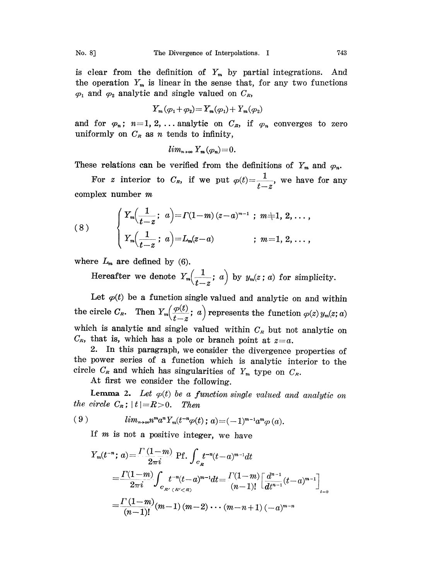is clear from the definition of  $Y_m$  by partial integrations. And the operation  $Y_m$  is linear in the sense that, for any two functions  $\varphi_1$  and  $\varphi_2$  analytic and single valued on  $C_R$ ,

$$
Y_m(\varphi_1+\varphi_2)=Y_m(\varphi_1)+Y_m(\varphi_2)
$$

and for  $\varphi_n$ ;  $n=1, 2, \ldots$  analytic on  $C_R$ , if  $\varphi_n$  converges to zero uniformly on  $C_R$  as n tends to infinity,

$$
lim_{n\to\infty}Y_m(\varphi_n)=0.
$$

These relations can be verified from the definitions of  $Y_m$  and  $\varphi_n$ .

For z interior to  $C_R$ , if we put  $\varphi(t)=\frac{1}{t-z}$ , we have for any complex number m

(8) 
$$
\begin{cases} Y_m(\frac{1}{t-z}; a) = \Gamma(1-m)(z-a)^{m-1} ; m \neq 1, 2, ..., \\ Y_m(\frac{1}{t-z}; a) = L_m(z-a) ; m = 1, 2, ..., \end{cases}
$$

where  $L_m$  are defined by (6).

Hereafter we denote  $Y_m\left(\frac{1}{t-z};\ a\right)$  by  $y_m(z;\ a)$  for simplicity.

Let  $\varphi(t)$  be a function single valued and analytic on and within the circle  $C_R$ . Then  $Y_m(\frac{\varphi(t)}{t-z}; a)$  represents the function  $\varphi(z)$   $y_m(z; a)$ which is analytic and single valued within  $C_R$  but not analytic on  $C_{\kappa}$ , that is, which has a pole or branch point at  $z=a$ .

2. In this paragraph, we consider the divergence properties of the power series of a function which is analytic interior to the circle  $C_R$  and which has singularities of  $Y_m$  type on  $C_R$ .

At first we consider the following.

Lemma 2. Let  $\varphi(t)$  be a function single valued and analytic on the circle  $C_R$ ;  $|t|=R>0$ . Then

$$
(9) \qquad \qquad lim_{n\to\infty}n^ma^nY_m(t^{-n}\varphi(t);a)=(-1)^{m-1}a^m\varphi(a).
$$

If  $m$  is not a positive integer, we have

$$
Y_m(t^{-n}; a) = \frac{\Gamma(1-m)}{2\pi i} \text{Pf.} \int_{C_R} t^{-n}(t-a)^{m-1} dt
$$
  
= 
$$
\frac{\Gamma(1-m)}{2\pi i} \int_{C_{R'}(R' < R)} t^{-n}(t-a)^{m-1} dt = \frac{\Gamma(1-m)}{(n-1)!} \left[ \frac{d^{n-1}}{dt^{n-1}} (t-a)^{m-1} \right]
$$
  
= 
$$
\frac{\Gamma(1-m)}{(n-1)!} (m-1) (m-2) \cdots (m-n+1) (-a)^{m-n}
$$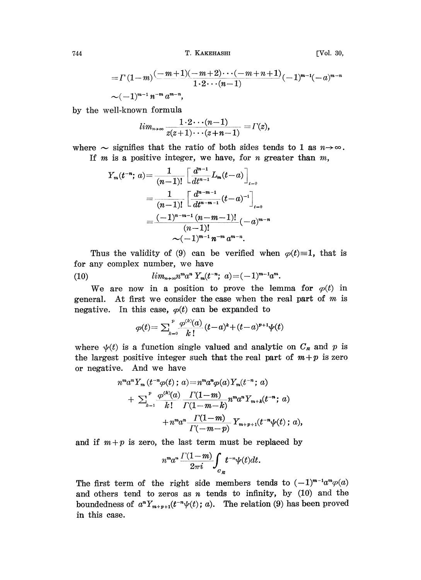744 T. KAKEHASHI

$$
\left[ \mathrm{Vol.}\,\,30,\right.
$$

$$
= \Gamma(1-m) \frac{(-m+1)(-m+2)\cdots(-m+n+1)}{1\cdot 2\cdots(n-1)} (-1)^{m-1}(-a)^{m-n}
$$
  
~(–1)<sup>m-1</sup> n<sup>-m</sup> a<sup>m-n</sup>,

by the well-known formula

$$
lim_{n\to\infty}\frac{1\cdot 2\cdots (n-1)}{z(z+1)\cdots (z+n-1)}= \varGamma(z),
$$

where  $\sim$  signifies that the ratio of both sides tends to 1 as  $n\rightarrow\infty$ . If  $m$  is a positive integer, we have, for  $n$  greater than  $m$ ,

$$
Y_m(t^{-n}; a) = \frac{1}{(n-1)!} \left[ \frac{d^{n-1}}{dt^{n-1}} L_m(t-a) \right]_{t=0}
$$
  
= 
$$
\frac{1}{(n-1)!} \left[ \frac{d^{n-m-1}}{dt^{n-m-1}} (t-a)^{-1} \right]_{t=0}
$$
  
= 
$$
\frac{(-1)^{n-m-1} (n-m-1)!}{(n-1)!} (-a)^{m-n}
$$
  

$$
\sim (-1)^{m-1} n^{-m} a^{m-n}.
$$

Thus the validity of (9) can be verified when  $\varphi(t)=1$ , that is for any complex number, we have

(10)  $\lim_{n\to\infty} n^m a^n Y_m(t^{-n}; a) = (-1)^{m-1} a^m.$ 

We are now in a position to prove the lemma for  $\varphi(t)$  in general. At first we consider the case when the real part of  $m$  is negative. In this case,  $\varphi(t)$  can be expanded to

$$
\varphi(t) = \sum_{k=0}^{p} \frac{\varphi^{(k)}(a)}{k!} (t-a)^{k} + (t-a)^{p+1} \psi(t)
$$

where  $\psi(t)$  is a function single valued and analytic on  $C_R$  and p is the largest positive integer such that the real part of  $m+p$  is zero or negative. And we have

$$
n^{m} a^{n} Y_{m} (t^{-n} \varphi(t); a) = n^{m} a^{n} \varphi(a) Y_{m} (t^{-n}; a)
$$
  
+ 
$$
\sum_{k=1}^{p} \frac{\varphi^{(k)}(a)}{k!} \frac{\Gamma(1-m)}{\Gamma(1-m-k)} n^{m} a^{n} Y_{m+k} (t^{-n}; a)
$$
  
+ 
$$
n^{m} a^{n} \frac{\Gamma(1-m)}{\Gamma(-m-p)} Y_{m+p+1} (t^{-n} \psi(t); a)
$$

and if  $m+p$  is zero, the last term must be replaced by

$$
n^m a^n \frac{\Gamma(1-m)}{2\pi i} \int_{c_R} t^{-n} \psi(t) dt.
$$

The first term of the right side members tends to  $(-1)^{m-1}a^m\varphi(a)$ and others tend to zeros as  $n$  tends to infinity, by (10) and the boundedness of  $a^n Y_{m+p+1}(t^{-n}\psi(t); a)$ . The relation (9) has been proved in this case.